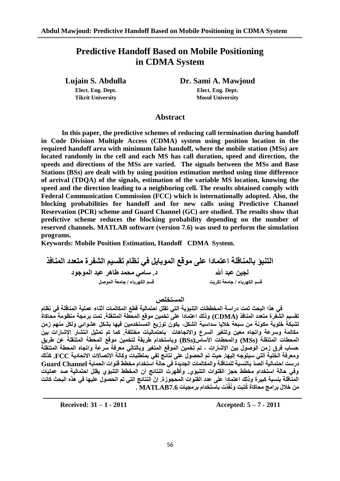# **Predictive Handoff Based on Mobile Positioning in CDMA System**

**Tikrit University Mosul University** 

**Lujain S. Abdulla Dr. Sami A. Mawjoud Elect. Eng. Dept. Elect. Eng. Dept.**

## **Abstract**

**In this paper, the predictive schemes of reducing call termination during handoff in Code Division Multiple Access (CDMA) system using position location in the required handoff area with minimum false handoff, where the mobile station (MSs) are located randomly in the cell and each MS has call duration, speed and direction, the speeds and directions of the MSs are varied. The signals between the MSs and Base Stations (BSs) are dealt with by using position estimation method using time difference of arrival (TDQA) of the signals, estimation of the variable MS location, knowing the speed and the direction leading to a neighboring cell. The results obtained comply with Federal Communication Commission (FCC) which is internationally adopted. Also, the blocking probabilities for handoff and for new calls using Predictive Channel Reservation (PCR) scheme and Guard Channel (GC) are studied. The results show that predictive scheme reduces the blocking probability depending on the number of reserved channels. MATLAB software (version 7.6) was used to perform the simulation programs.** 

**Keywords: Mobile Position Estimation, Handoff CDMA System.**

التنبؤ بالمنـاقلـة اعتمـادا عل*ى* موقع الموبـايل في نظام تقسيم الشـفرة متعدد المنـافذ<br>د<sub>.</sub> سـامي محمد طـاهر عبد الموجود<br>د. سـامي محمد طـاهر عبد الموجود **ذ. سامي محمد طاهر عبد الموجود ) لا يسمي الله عبد الموجود ) .**<br>قسم الكه باء / جامعة تكريت المسمور الله عبد ان عبد الله باء / جامعة الموصل **لسى انكٓشباء / جايؼت حكشٌج لسى انكٓشباء / جايؼت انًٕصم**

ا**لمستخلص** ،

فى هذا البحث تمت دراسة المخططات التنبوَية التي تقلل احتمالية قطع المكالمات أثناء عملية المناقلة في نظام تقسيم الشّفرة متعدد المنافذ (CDMA) وذلك اعتمادا على تخمين موقع المحطة المتنقلة. تمت برمجة منظومة محاكاة لشبكة خلوية مكونة من سبعة خلايا سداسية الشكل، يكون توزيع المستخدمين فيها بشكل عشوائ*ي* ولكل منهم زمن مكالمة وسرعة واتجاه معين وتتغير السرع والاتجاهات باحتماليات مختلفة. كما تم تمثيل انتشار الإشارات بين المحطات المتنقلة (MSs) والمحطات الأساس(BSs) وباستخدام طريقة لتخمين موقع المحطة المتنقلة عن طريق حساب فرق زمن الوصول بين الإشارات ، تم تُخمين الموقع المتغير وبالتال*ي* معرفة سرعة واتجاه المحطة المتنقلة **ٔيؼشفت انخهٍت انخً سٍخٕجّ إنٍٓا. حٍث حى انحصٕل ػهى َخائج حفً بًخطهباث ٔكانت االحصاالث االححادٌت FCC. كزنك دسسج احخًانٍت انصّذ بانُسبت نهًُالهت ٔانًكانًاث انجذٌذة فً حانت اسخخذاو يخطط لُٕاث انحًاٌت Channel Guard** وفّي حالة استخدام مخطط حجز القنوات الننبوّي. وأظهرت النتائج أن المخطط التنبوّي يقلل احتمالية صد عمليات المنَاقلة بِنسبة كبيرة وذلك اعتمادا على عدد الفنوات المحجوزة. إنّ النتائج التي تم الحصول عليها في هذه البحث كانت **يٍ خالل بشايج يحاكاة ُكخِبج َُٔفِّزث باسخخذاو بشيجٍاث 7.6MATLAB .**

**Received: 31 – 1 - 2011 Accepted: 5 – 7 - 2011**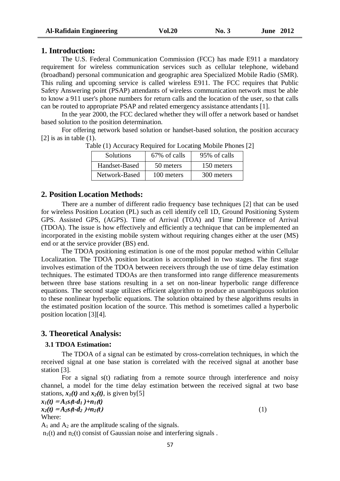#### **1. Introduction:**

The U.S. Federal Communication Commission (FCC) has made E911 a mandatory requirement for wireless communication services such as cellular telephone, wideband (broadband) personal communication and geographic area Specialized Mobile Radio (SMR). This ruling and upcoming service is called wireless E911. The FCC requires that Public Safety Answering point (PSAP) attendants of wireless communication network must be able to know a 911 user's phone numbers for return calls and the location of the user, so that calls can be routed to appropriate PSAP and related emergency assistance attendants [1].

In the year 2000, the FCC declared whether they will offer a network based or handset based solution to the position determination.

For offering network based solution or handset-based solution, the position accuracy  $[2]$  is as in table  $(1)$ .

| <b>Solutions</b> | 67% of calls | 95% of calls |
|------------------|--------------|--------------|
| Handset-Based    | 50 meters    | 150 meters   |
| Network-Based    | 100 meters   | 300 meters   |

Table (1) Accuracy Required for Locating Mobile Phones [2]

## **2. Position Location Methods:**

There are a number of different radio frequency base techniques [2] that can be used for wireless Position Location (PL) such as cell identify cell 1D, Ground Positioning System GPS. Assisted GPS, (AGPS). Time of Arrival (TOA) and Time Difference of Arrival (TDOA). The issue is how effectively and efficiently a technique that can be implemented an incorporated in the existing mobile system without requiring changes either at the user (MS) end or at the service provider (BS) end.

The TDOA positioning estimation is one of the most popular method within Cellular Localization. The TDOA position location is accomplished in two stages. The first stage involves estimation of the TDOA between receivers through the use of time delay estimation techniques. The estimated TDOAs are then transformed into range difference measurements between three base stations resulting in a set on non-linear hyperbolic range difference equations. The second stage utilizes efficient algorithm to produce an unambiguous solution to these nonlinear hyperbolic equations. The solution obtained by these algorithms results in the estimated position location of the source. This method is sometimes called a hyperbolic position location [3][4].

## **3. Theoretical Analysis:**

#### **3.1 TDOA Estimation:**

The TDOA of a signal can be estimated by cross-correlation techniques, in which the received signal at one base station is correlated with the received signal at another base station [3].

For a signal s(t) radiating from a remote source through interference and noisy channel, a model for the time delay estimation between the received signal at two base stations,  $x_1(t)$  and  $x_2(t)$ , is given by [5]

 $x_1(t) = A_1 s(t - d_1) + n_1(t)$  $x_2(t) = A_2s(t - d_2) + n_2(t)$  (1) Where:

 $A_1$  and  $A_2$  are the amplitude scaling of the signals.

 $n_1(t)$  and  $n_2(t)$  consist of Gaussian noise and interfering signals.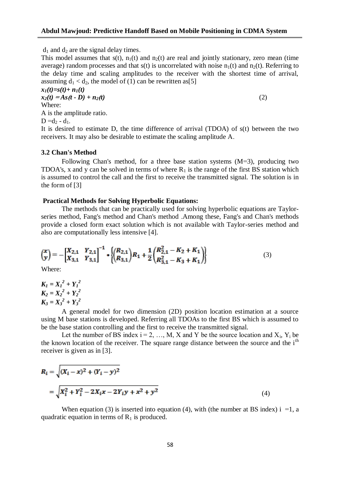$d_1$  and  $d_2$  are the signal delay times.

This model assumes that  $s(t)$ ,  $n_1(t)$  and  $n_2(t)$  are real and jointly stationary, zero mean (time average) random processes and that  $s(t)$  is uncorrelated with noise  $n_1(t)$  and  $n_2(t)$ . Referring to the delay time and scaling amplitudes to the receiver with the shortest time of arrival, assuming  $d_1 < d_2$ , the model of (1) can be rewritten as [5]

$$
x_1(t)=s(t)+n_1(t)
$$
  
\n
$$
x_2(t) = As(t - D) + n_2(t)
$$
  
\nWhere:  
\nA is the amplitude ratio.  
\nD =d<sub>2</sub> - d<sub>1</sub>.  
\nIt is desired to estimate D, the time difference of arrival (TDOA) of s(t) between the two

receivers. It may also be desirable to estimate the scaling amplitude A.

#### **3.2 Chan's Method**

Following Chan's method, for a three base station systems (M=3), producing two TDOA's, x and y can be solved in terms of where  $R_1$  is the range of the first BS station which is assumed to control the call and the first to receive the transmitted signal. The solution is in the form of [3]

#### **Practical Methods for Solving Hyperbolic Equations:**

The methods that can be practically used for solving hyperbolic equations are Taylorseries method, Fang's method and Chan's method .Among these, Fang's and Chan's methods provide a closed form exact solution which is not available with Taylor-series method and also are computationally less intensive [4].

$$
\begin{pmatrix} x \ y \end{pmatrix} = -\begin{bmatrix} X_{2,1} & Y_{2,1} \\ X_{3,1} & Y_{3,1} \end{bmatrix}^{-1} * \left\{ \begin{pmatrix} R_{2,1} \\ R_{3,1} \end{pmatrix} R_1 + \frac{1}{2} \begin{pmatrix} R_{2,1}^2 - K_2 + K_1 \\ R_{3,1}^2 - K_3 + K_1 \end{pmatrix} \right\}
$$
(3)

Where:

 $K_I = X_I^2 + Y_I^2$  $K_2 = X_2^2 + Y_2^2$  $K_3 = X_3^2 + Y_3^2$ 

A general model for two dimension (2D) position location estimation at a source using M base stations is developed. Referring all TDOAs to the first BS which is assumed to be the base station controlling and the first to receive the transmitted signal.

Let the number of BS index  $i = 2, ..., M$ , X and Y be the source location and  $X_i$ ,  $Y_i$  be the known location of the receiver. The square range distance between the source and the  $i<sup>th</sup>$ receiver is given as in [3].

$$
R_{i} = \sqrt{(X_{i} - x)^{2} + (Y_{i} - y)^{2}}
$$
  
=  $\sqrt{X_{i}^{2} + Y_{i}^{2} - 2X_{i}x - 2Y_{i}y + x^{2} + y^{2}}$  (4)

When equation (3) is inserted into equation (4), with (the number at BS index) i =1, a quadratic equation in terms of  $R_1$  is produced.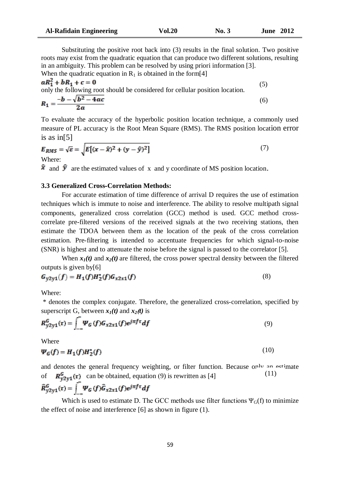Substituting the positive root back into (3) results in the final solution. Two positive roots may exist from the quadratic equation that can produce two different solutions, resulting in an ambiguity. This problem can be resolved by using priori information [3]. When the quadratic equation in  $R_1$  is obtained in the form[4]

$$
aR_1^2 + bR_1 + c = 0
$$
  
only the following root should be considered for cellular position location.  

$$
R_1 = \frac{-b - \sqrt{b^2 - 4ac}}{2a}
$$
 (5)

To evaluate the accuracy of the hyperbolic position location technique, a commonly used measure of PL accuracy is the Root Mean Square (RMS). The RMS position location error is as in[5]

$$
E_{RMS} = \sqrt{\varepsilon} = \sqrt{E\left[ (x - \hat{x})^2 + (y - \hat{y})^2 \right]}
$$
 (7)

 $\hat{\mathbf{x}}$  and  $\hat{\mathbf{y}}$  are the estimated values of x and y coordinate of MS position location.

## **3.3 Generalized Cross-Correlation Methods:**

For accurate estimation of time difference of arrival D requires the use of estimation techniques which is immute to noise and interference. The ability to resolve multipath signal components, generalized cross correlation (GCC) method is used. GCC method crosscorrelate pre-filtered versions of the received signals at the two receiving stations, then estimate the TDOA between them as the location of the peak of the cross correlation estimation. Pre-filtering is intended to accentuate frequencies for which signal-to-noise (SNR) is highest and to attenuate the noise before the signal is passed to the correlator [5].

When  $x_1(t)$  and  $x_2(t)$  are filtered, the cross power spectral density between the filtered outputs is given by[6]

$$
G_{y2y1}(f) = H_1(f)H_2^*(f)G_{x2x1}(f)
$$
\n(8)

Where:

\* denotes the complex conjugate. Therefore, the generalized cross-correlation, specified by superscript G, between  $x_1(t)$  and  $x_2(t)$  is

$$
R_{y2y1}^G(\tau) = \int_{-\infty}^{\infty} \Psi_G(f) G_{x2x1}(f) e^{j\pi f \tau} df
$$
\n(9)

Where

$$
\Psi_G(f) = H_1(f)H_2^*(f) \tag{10}
$$

and denotes the general frequency weighting, or filter function. Because only an estimate of  $R_{v2v1}^G(\tau)$  can be obtained, equation (9) is rewritten as [4] (11)

$$
\widehat{R}_{y2y1}^G(\tau) = \int_{-\infty}^{\infty} \Psi_G(f) \widehat{G}_{x2x1}(f) e^{j\pi f \tau} df
$$

Which is used to estimate D. The GCC methods use filter functions  $\Psi_G(f)$  to minimize the effect of noise and interference [6] as shown in figure (1).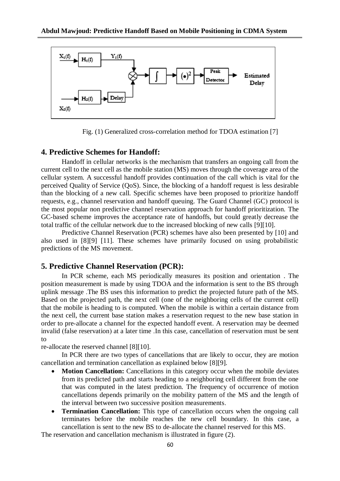

Fig. (1) Generalized cross-correlation method for TDOA estimation [7]

## **4. Predictive Schemes for Handoff:**

Handoff in cellular networks is the mechanism that transfers an ongoing call from the current cell to the next cell as the mobile station (MS) moves through the coverage area of the cellular system. A successful handoff provides continuation of the call which is vital for the perceived Quality of Service (QoS). Since, the blocking of a handoff request is less desirable than the blocking of a new call. Specific schemes have been proposed to prioritize handoff requests, e.g., channel reservation and handoff queuing. The Guard Channel (GC) protocol is the most popular non predictive channel reservation approach for handoff prioritization. The GC-based scheme improves the acceptance rate of handoffs, but could greatly decrease the total traffic of the cellular network due to the increased blocking of new calls [9][10].

Predictive Channel Reservation (PCR) schemes have also been presented by [10] and also used in [8][9] [11]. These schemes have primarily focused on using probabilistic predictions of the MS movement.

## **5. Predictive Channel Reservation (PCR):**

In PCR scheme, each MS periodically measures its position and orientation . The position measurement is made by using TDOA and the information is sent to the BS through uplink message .The BS uses this information to predict the projected future path of the MS. Based on the projected path, the next cell (one of the neighboring cells of the current cell) that the mobile is heading to is computed. When the mobile is within a certain distance from the next cell, the current base station makes a reservation request to the new base station in order to pre-allocate a channel for the expected handoff event. A reservation may be deemed invalid (false reservation) at a later time .In this case, cancellation of reservation must be sent to

re-allocate the reserved channel [8][10].

In PCR there are two types of cancellations that are likely to occur, they are motion cancellation and termination cancellation as explained below [8][9].

- **Motion Cancellation:** Cancellations in this category occur when the mobile deviates from its predicted path and starts heading to a neighboring cell different from the one that was computed in the latest prediction. The frequency of occurrence of motion cancellations depends primarily on the mobility pattern of the MS and the length of the interval between two successive position measurements.
- **Termination Cancellation:** This type of cancellation occurs when the ongoing call terminates before the mobile reaches the new cell boundary. In this case, a cancellation is sent to the new BS to de-allocate the channel reserved for this MS.

The reservation and cancellation mechanism is illustrated in figure (2).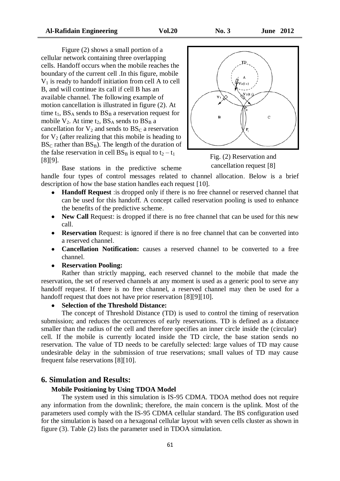Figure (2) shows a small portion of a cellular network containing three overlapping cells. Handoff occurs when the mobile reaches the boundary of the current cell .In this figure, mobile  $V_1$  is ready to handoff initiation from cell A to cell B, and will continue its call if cell B has an available channel. The following example of motion cancellation is illustrated in figure (2). At time  $t_1$ ,  $BS_A$  sends to  $BS_B$  a reservation request for mobile  $V_2$ . At time  $t_2$ ,  $BS_A$  sends to  $BS_B$  a cancellation for  $V_2$  and sends to  $BS_C$  a reservation for  $V_2$  (after realizing that this mobile is heading to  $BS_C$  rather than  $BS_B$ ). The length of the duration of the false reservation in cell  $BS_B$  is equal to  $t_2 - t_1$ [8][9].



Fig. (2) Reservation and cancellation request [8]

Base stations in the predictive scheme

handle four types of control messages related to channel allocation. Below is a brief description of how the base station handles each request [10].

- **Handoff Request** :is dropped only if there is no free channel or reserved channel that can be used for this handoff. A concept called reservation pooling is used to enhance the benefits of the predictive scheme.
- New Call Request: is dropped if there is no free channel that can be used for this new call.
- **Reservation** Request: is ignored if there is no free channel that can be converted into a reserved channel.
- **Cancellation Notification:** causes a reserved channel to be converted to a free channel.
- **Reservation Pooling:**

Rather than strictly mapping, each reserved channel to the mobile that made the reservation, the set of reserved channels at any moment is used as a generic pool to serve any handoff request. If there is no free channel, a reserved channel may then be used for a handoff request that does not have prior reservation [8][9][10].

## **Selection of the Threshold Distance:**

The concept of Threshold Distance (TD) is used to control the timing of reservation submission; and reduces the occurrences of early reservations. TD is defined as a distance smaller than the radius of the cell and therefore specifies an inner circle inside the (circular) cell. If the mobile is currently located inside the TD circle, the base station sends no reservation. The value of TD needs to be carefully selected: large values of TD may cause undesirable delay in the submission of true reservations; small values of TD may cause frequent false reservations [8][10].

## **6. Simulation and Results:**

#### **Mobile Positioning by Using TDOA Model**

The system used in this simulation is IS-95 CDMA. TDOA method does not require any information from the downlink; therefore, the main concern is the uplink. Most of the parameters used comply with the IS-95 CDMA cellular standard. The BS configuration used for the simulation is based on a hexagonal cellular layout with seven cells cluster as shown in figure (3). Table (2) lists the parameter used in TDOA simulation.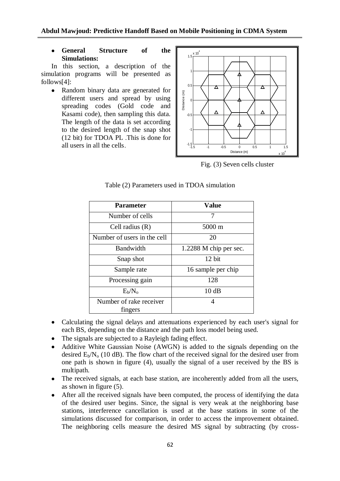**General Structure of the Simulations:**

In this section, a description of the simulation programs will be presented as follows[4]:

• Random binary data are generated for different users and spread by using spreading codes (Gold code and Kasami code), then sampling this data. The length of the data is set according to the desired length of the snap shot (12 bit) for TDOA PL .This is done for all users in all the cells.



Fig. (3) Seven cells cluster

| Parameter                          | <b>Value</b>           |
|------------------------------------|------------------------|
| Number of cells                    | 7                      |
| Cell radius $(R)$                  | 5000 m                 |
| Number of users in the cell        | 20                     |
| Bandwidth                          | 1.2288 M chip per sec. |
| Snap shot                          | 12 bit                 |
| Sample rate                        | 16 sample per chip     |
| Processing gain                    | 128                    |
| $E_b/N_o$                          | 10dB                   |
| Number of rake receiver<br>fingers | 4                      |

Table (2) Parameters used in TDOA simulation

- Calculating the signal delays and attenuations experienced by each user's signal for each BS, depending on the distance and the path loss model being used.
- The signals are subjected to a Rayleigh fading effect.
- Additive White Gaussian Noise (AWGN) is added to the signals depending on the desired  $E_b/N_o$  (10 dB). The flow chart of the received signal for the desired user from one path is shown in figure (4), usually the signal of a user received by the BS is multipath.
- The received signals, at each base station, are incoherently added from all the users, as shown in figure (5).
- After all the received signals have been computed, the process of identifying the data of the desired user begins. Since, the signal is very weak at the neighboring base stations, interference cancellation is used at the base stations in some of the simulations discussed for comparison, in order to access the improvement obtained. The neighboring cells measure the desired MS signal by subtracting (by cross-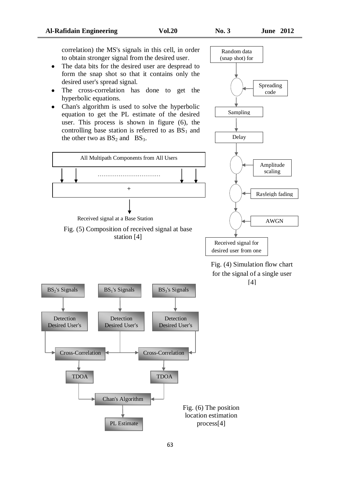correlation) the MS's signals in this cell, in order to obtain stronger signal from the desired user.

- The data bits for the desired user are despread to form the snap shot so that it contains only the desired user's spread signal.
- The cross-correlation has done to get the hyperbolic equations.
- Chan's algorithm is used to solve the hyperbolic equation to get the PL estimate of the desired user. This process is shown in figure (6), the controlling base station is referred to as  $BS<sub>1</sub>$  and the other two as  $BS_2$  and  $BS_3$ .





path Fig. (4) Simulation flow chart for the signal of a single user [4]

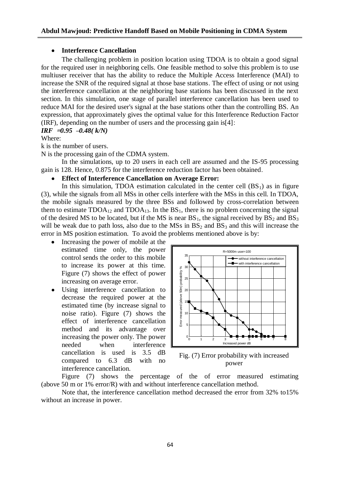## **Interference Cancellation**

The challenging problem in position location using TDOA is to obtain a good signal for the required user in neighboring cells. One feasible method to solve this problem is to use multiuser receiver that has the ability to reduce the Multiple Access Interference (MAI) to increase the SNR of the required signal at those base stations. The effect of using or not using the interference cancellation at the neighboring base stations has been discussed in the next section. In this simulation, one stage of parallel interference cancellation has been used to reduce MAI for the desired user's signal at the base stations other than the controlling BS. An expression, that approximately gives the optimal value for this Interference Reduction Factor (IRF), depending on the number of users and the processing gain is[4]:

*IRF* **=***0.95* **–***0.48( k/N)*

Where:

k is the number of users.

N is the processing gain of the CDMA system.

In the simulations, up to 20 users in each cell are assumed and the IS-95 processing gain is 128. Hence, 0.875 for the interference reduction factor has been obtained.

## **Effect of Interference Cancellation on Average Error:**

In this simulation, TDOA estimation calculated in the center cell  $(BS_1)$  as in figure (3), while the signals from all MSs in other cells interfere with the MSs in this cell. In TDOA, the mobile signals measured by the three BSs and followed by cross-correlation between them to estimate  $TDOA_{12}$  and  $TDOA_{13}$ . In the  $BS_1$ , there is no problem concerning the signal of the desired MS to be located, but if the MS is near  $BS_1$ , the signal received by  $BS_2$  and  $BS_3$ will be weak due to path loss, also due to the  $\text{MSS}$  in  $\text{BS}_2$  and  $\text{BS}_3$  and this will increase the error in MS position estimation. To avoid the problems mentioned above is by:

- Increasing the power of mobile at the estimated time only, the power control sends the order to this mobile to increase its power at this time. Figure (7) shows the effect of power increasing on average error.
- Using interference cancellation to decrease the required power at the estimated time (by increase signal to noise ratio). Figure (7) shows the effect of interference cancellation method and its advantage over increasing the power only. The power needed when interference cancellation is used is 3.5 dB compared to 6.3 dB with no interference cancellation.



Fig. (7) Error probability with increased power

Figure (7) shows the percentage of the of error measured estimating (above 50 m or 1% error/R) with and without interference cancellation method.

Note that, the interference cancellation method decreased the error from 32% to15% without an increase in power.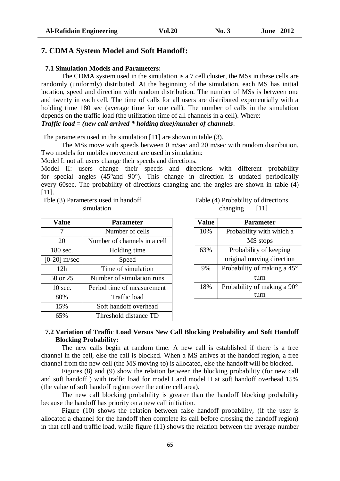## **7. CDMA System Model and Soft Handoff:**

## **7.1 Simulation Models and Parameters:**

The CDMA system used in the simulation is a 7 cell cluster, the MSs in these cells are randomly (uniformly) distributed. At the beginning of the simulation, each MS has initial location, speed and direction with random distribution. The number of MSs is between one and twenty in each cell. The time of calls for all users are distributed exponentially with a holding time 180 sec (average time for one call). The number of calls in the simulation depends on the traffic load (the utilization time of all channels in a cell). Where: *Traffic load = (new call arrived \* holding time)/number of channels*.

The parameters used in the simulation [11] are shown in table (3).

The MSs move with speeds between 0 m/sec and 20 m/sec with random distribution. Two models for mobiles movement are used in simulation:

Model I: not all users change their speeds and directions.

Model II: users change their speeds and directions with different probability for special angles (45°and 90°). This change in direction is updated periodically every 60sec. The probability of directions changing and the angles are shown in table (4) [11].

Tble (3) Parameters used in handoff simulation

| Value             | <b>Parameter</b>             |  |
|-------------------|------------------------------|--|
| 7                 | Number of cells              |  |
| 20                | Number of channels in a cell |  |
| $180$ sec.        | Holding time                 |  |
| $[0-20]$ m/sec    | Speed                        |  |
| 12 <sub>h</sub>   | Time of simulation           |  |
| 50 or 25          | Number of simulation runs    |  |
| $10 \text{ sec.}$ | Period time of measurement   |  |
| 80%               | Traffic load                 |  |
| 15%               | Soft handoff overhead        |  |
| 65%               | Threshold distance TD        |  |

| Table (4) Probability of directions |      |
|-------------------------------------|------|
| changing                            | [11] |

| Value | <b>Parameter</b>                     |  |
|-------|--------------------------------------|--|
| 10%   | Probability with which a             |  |
|       | MS stops                             |  |
| 63%   | Probability of keeping               |  |
|       | original moving direction            |  |
| 9%    | Probability of making a $45^{\circ}$ |  |
|       | turn                                 |  |
| 18%   | Probability of making a $90^\circ$   |  |
|       |                                      |  |

## **7.2 Variation of Traffic Load Versus New Call Blocking Probability and Soft Handoff Blocking Probability:**

The new calls begin at random time. A new call is established if there is a free channel in the cell, else the call is blocked. When a MS arrives at the handoff region, a free channel from the new cell (the MS moving to) is allocated, else the handoff will be blocked.

Figures (8) and (9) show the relation between the blocking probability (for new call and soft handoff ) with traffic load for model I and model II at soft handoff overhead 15% (the value of soft handoff region over the entire cell area).

The new call blocking probability is greater than the handoff blocking probability because the handoff has priority on a new call initiation.

Figure (10) shows the relation between false handoff probability, (if the user is allocated a channel for the handoff then complete its call before crossing the handoff region) in that cell and traffic load, while figure (11) shows the relation between the average number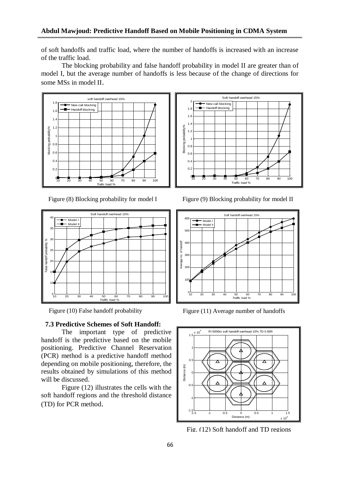of soft handoffs and traffic load, where the number of handoffs is increased with an increase of the traffic load.

The blocking probability and false handoff probability in model II are greater than of model I, but the average number of handoffs is less because of the change of directions for some MSs in model II.



Figure (8) Blocking probability for model I



## **7.3 Predictive Schemes of Soft Handoff:**

The important type of predictive handoff is the predictive based on the mobile positioning. Predictive Channel Reservation (PCR) method is a predictive handoff method depending on mobile positioning, therefore, the results obtained by simulations of this method will be discussed.

Figure (12) illustrates the cells with the soft handoff regions and the threshold distance (TD) for PCR method.



Figure (9) Blocking probability for model II



Figure (10) False handoff probability Figure (11) Average number of handoffs



Fig. (12) Soft handoff and TD regions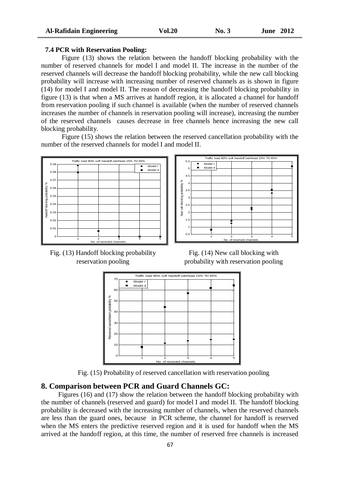#### **7.4 PCR with Reservation Pooling:**

Figure (13) shows the relation between the handoff blocking probability with the number of reserved channels for model I and model II. The increase in the number of the reserved channels will decrease the handoff blocking probability, while the new call blocking probability will increase with increasing number of reserved channels as is shown in figure (14) for model I and model II. The reason of decreasing the handoff blocking probability in figure (13) is that when a MS arrives at handoff region, it is allocated a channel for handoff from reservation pooling if such channel is available (when the number of reserved channels increases the number of channels in reservation pooling will increase), increasing the number of the reserved channels causes decrease in free channels hence increasing the new call blocking probability.

Figure (15) shows the relation between the reserved cancellation probability with the number of the reserved channels for model I and model II.







Fig. (14) New call blocking with probability with reservation pooling



Fig. (15) Probability of reserved cancellation with reservation pooling

## **8. Comparison between PCR and Guard Channels GC:**

 Figures (16) and (17) show the relation between the handoff blocking probability with the number of channels (reserved and guard) for model I and model II. The handoff blocking probability is decreased with the increasing number of channels, when the reserved channels are less than the guard ones, because in PCR scheme, the channel for handoff is reserved when the MS enters the predictive reserved region and it is used for handoff when the MS arrived at the handoff region, at this time, the number of reserved free channels is increased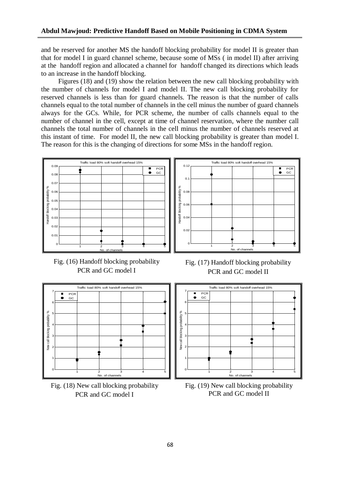and be reserved for another MS the handoff blocking probability for model II is greater than that for model I in guard channel scheme, because some of MSs ( in model II) after arriving at the handoff region and allocated a channel for handoff changed its directions which leads to an increase in the handoff blocking.

 Figures (18) and (19) show the relation between the new call blocking probability with the number of channels for model I and model II. The new call blocking probability for reserved channels is less than for guard channels. The reason is that the number of calls channels equal to the total number of channels in the cell minus the number of guard channels always for the GCs. While, for PCR scheme, the number of calls channels equal to the number of channel in the cell, except at time of channel reservation, where the number call channels the total number of channels in the cell minus the number of channels reserved at this instant of time. For model II, the new call blocking probability is greater than model I. The reason for this is the changing of directions for some MSs in the handoff region.



Fig. (16) Handoff blocking probability PCR and GC model I



Fig. (18) New call blocking probability PCR and GC model I



Fig. (17) Handoff blocking probability PCR and GC model II



Fig. (19) New call blocking probability PCR and GC model II